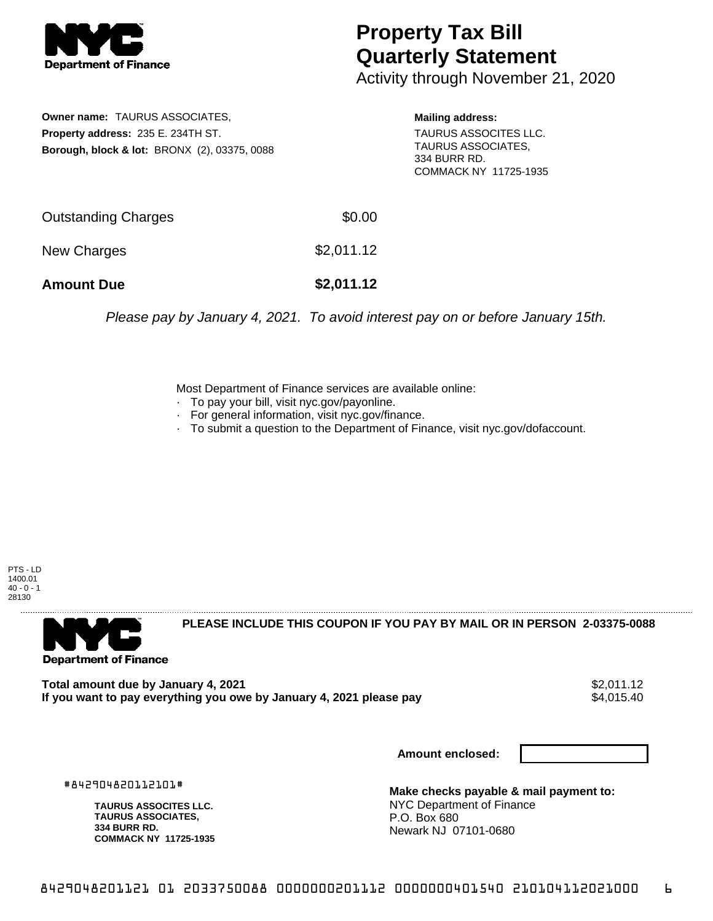

## **Property Tax Bill Quarterly Statement**

Activity through November 21, 2020

**Owner name:** TAURUS ASSOCIATES, **Property address:** 235 E. 234TH ST. **Borough, block & lot:** BRONX (2), 03375, 0088 **Mailing address:** TAURUS ASSOCITES LLC. TAURUS ASSOCIATES, 334 BURR RD. COMMACK NY 11725-1935

| <b>Amount Due</b>   | \$2,011.12 |
|---------------------|------------|
| New Charges         | \$2,011.12 |
| Outstanding Charges | \$0.00     |

Please pay by January 4, 2021. To avoid interest pay on or before January 15th.

Most Department of Finance services are available online:

- · To pay your bill, visit nyc.gov/payonline.
- For general information, visit nyc.gov/finance.
- · To submit a question to the Department of Finance, visit nyc.gov/dofaccount.

PTS - LD 1400.01  $40 - 0 - 1$ 28130



**PLEASE INCLUDE THIS COUPON IF YOU PAY BY MAIL OR IN PERSON 2-03375-0088** 

**Total amount due by January 4, 2021**<br>If you want to pay everything you owe by January 4, 2021 please pay **strategy of the Superior Autom** \$4,015.40 If you want to pay everything you owe by January 4, 2021 please pay

**Amount enclosed:**

#842904820112101#

**TAURUS ASSOCITES LLC. TAURUS ASSOCIATES, 334 BURR RD. COMMACK NY 11725-1935**

**Make checks payable & mail payment to:** NYC Department of Finance P.O. Box 680 Newark NJ 07101-0680